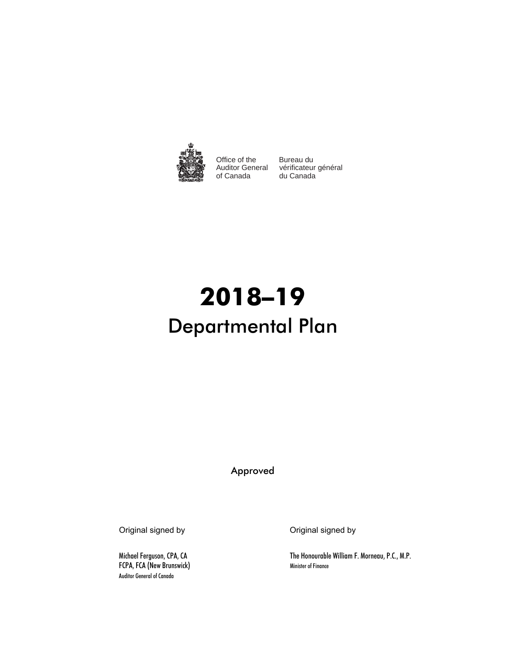

Office of the of Canada

Auditor General vérificateur général Bureau du du Canada

# **2018–19** Departmental Plan

Approved

FCPA, FCA (New Brunswick) Minister of Finance Auditor General of Canada

Original signed by Original signed by

Michael Ferguson, CPA, CA The Honourable William F. Morneau, P.C., M.P.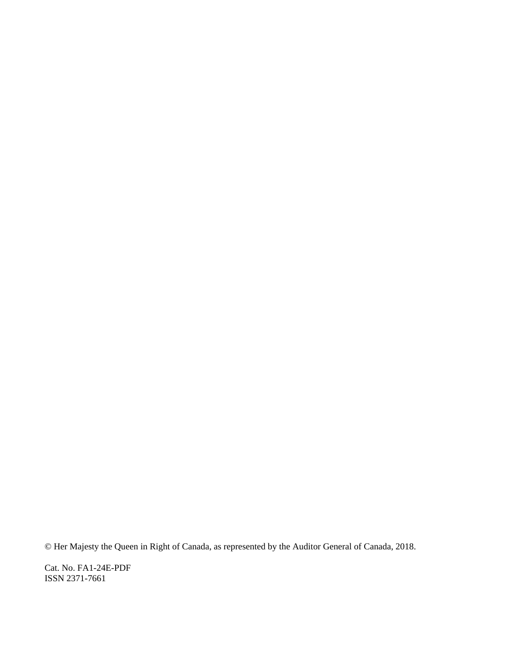© Her Majesty the Queen in Right of Canada, as represented by the Auditor General of Canada, 2018.

Cat. No. FA1-24E-PDF ISSN 2371-7661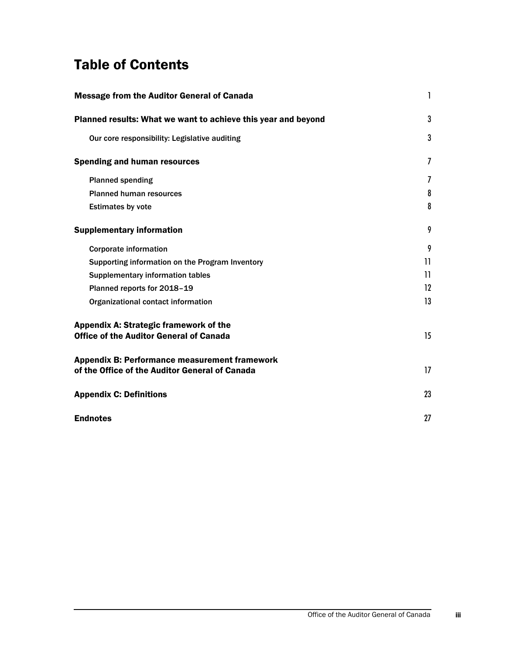# Table of Contents

| <b>Message from the Auditor General of Canada</b>                                                      | 1              |
|--------------------------------------------------------------------------------------------------------|----------------|
| Planned results: What we want to achieve this year and beyond                                          | 3              |
| Our core responsibility: Legislative auditing                                                          | 3              |
| <b>Spending and human resources</b>                                                                    | $\overline{I}$ |
| <b>Planned spending</b>                                                                                | $\overline{I}$ |
| <b>Planned human resources</b>                                                                         | 8              |
| <b>Estimates by vote</b>                                                                               | 8              |
| <b>Supplementary information</b>                                                                       | 9              |
| <b>Corporate information</b>                                                                           | 9              |
| Supporting information on the Program Inventory                                                        | 11             |
| Supplementary information tables                                                                       | 11             |
| Planned reports for 2018-19                                                                            | 12             |
| Organizational contact information                                                                     | 13             |
| Appendix A: Strategic framework of the<br><b>Office of the Auditor General of Canada</b>               | 15             |
| <b>Appendix B: Performance measurement framework</b><br>of the Office of the Auditor General of Canada | 17             |
| <b>Appendix C: Definitions</b>                                                                         | 23             |
| <b>Endnotes</b>                                                                                        | 27             |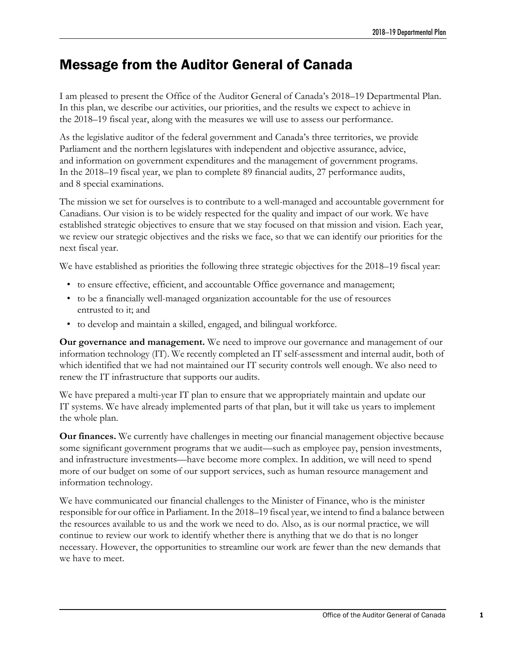# <span id="page-4-0"></span>Message from the Auditor General of Canada

I am pleased to present the Office of the Auditor General of Canada's 2018–19 Departmental Plan. In this plan, we describe our activities, our priorities, and the results we expect to achieve in the 2018–19 fiscal year, along with the measures we will use to assess our performance.

As the legislative auditor of the federal government and Canada's three territories, we provide Parliament and the northern legislatures with independent and objective assurance, advice, and information on government expenditures and the management of government programs. In the 2018–19 fiscal year, we plan to complete 89 financial audits, 27 performance audits, and 8 special examinations.

The mission we set for ourselves is to contribute to a well-managed and accountable government for Canadians. Our vision is to be widely respected for the quality and impact of our work. We have established strategic objectives to ensure that we stay focused on that mission and vision. Each year, we review our strategic objectives and the risks we face, so that we can identify our priorities for the next fiscal year.

We have established as priorities the following three strategic objectives for the 2018–19 fiscal year:

- to ensure effective, efficient, and accountable Office governance and management;
- to be a financially well-managed organization accountable for the use of resources entrusted to it; and
- to develop and maintain a skilled, engaged, and bilingual workforce.

**Our governance and management.** We need to improve our governance and management of our information technology (IT). We recently completed an IT self-assessment and internal audit, both of which identified that we had not maintained our IT security controls well enough. We also need to renew the IT infrastructure that supports our audits.

We have prepared a multi-year IT plan to ensure that we appropriately maintain and update our IT systems. We have already implemented parts of that plan, but it will take us years to implement the whole plan.

**Our finances.** We currently have challenges in meeting our financial management objective because some significant government programs that we audit—such as employee pay, pension investments, and infrastructure investments—have become more complex. In addition, we will need to spend more of our budget on some of our support services, such as human resource management and information technology.

We have communicated our financial challenges to the Minister of Finance, who is the minister responsible for our office in Parliament. In the 2018–19 fiscal year, we intend to find a balance between the resources available to us and the work we need to do. Also, as is our normal practice, we will continue to review our work to identify whether there is anything that we do that is no longer necessary. However, the opportunities to streamline our work are fewer than the new demands that we have to meet.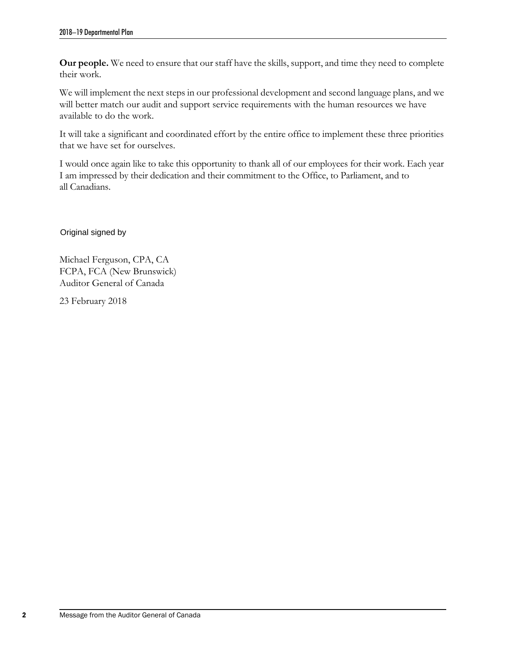**Our people.** We need to ensure that our staff have the skills, support, and time they need to complete their work.

We will implement the next steps in our professional development and second language plans, and we will better match our audit and support service requirements with the human resources we have available to do the work.

It will take a significant and coordinated effort by the entire office to implement these three priorities that we have set for ourselves.

I would once again like to take this opportunity to thank all of our employees for their work. Each year I am impressed by their dedication and their commitment to the Office, to Parliament, and to all Canadians.

Original signed by

Michael Ferguson, CPA, CA FCPA, FCA (New Brunswick) Auditor General of Canada

23 February 2018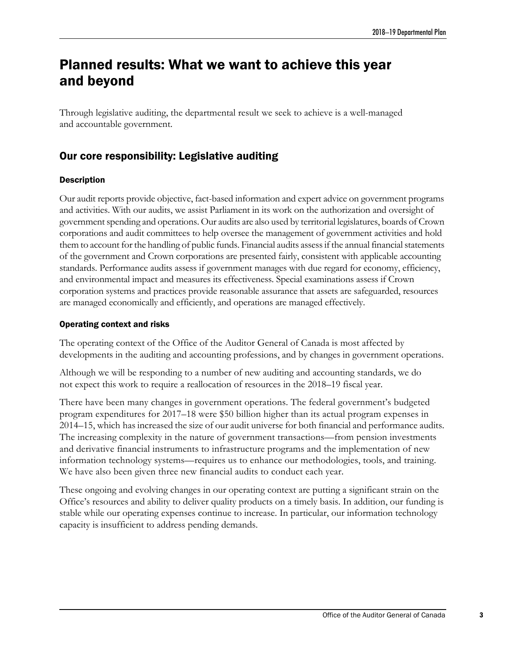# <span id="page-6-0"></span>Planned results: What we want to achieve this year and beyond

Through legislative auditing, the departmental result we seek to achieve is a well-managed and accountable government.

### <span id="page-6-1"></span>Our core responsibility: Legislative auditing

#### **Description**

Our audit reports provide objective, fact-based information and expert advice on government programs and activities. With our audits, we assist Parliament in its work on the authorization and oversight of government spending and operations. Our audits are also used by territorial legislatures, boards of Crown corporations and audit committees to help oversee the management of government activities and hold them to account for the handling of public funds. Financial audits assess if the annual financial statements of the government and Crown corporations are presented fairly, consistent with applicable accounting standards. Performance audits assess if government manages with due regard for economy, efficiency, and environmental impact and measures its effectiveness. Special examinations assess if Crown corporation systems and practices provide reasonable assurance that assets are safeguarded, resources are managed economically and efficiently, and operations are managed effectively.

#### Operating context and risks

The operating context of the Office of the Auditor General of Canada is most affected by developments in the auditing and accounting professions, and by changes in government operations.

Although we will be responding to a number of new auditing and accounting standards, we do not expect this work to require a reallocation of resources in the 2018–19 fiscal year.

There have been many changes in government operations. The federal government's budgeted program expenditures for 2017–18 were \$50 billion higher than its actual program expenses in 2014–15, which has increased the size of our audit universe for both financial and performance audits. The increasing complexity in the nature of government transactions—from pension investments and derivative financial instruments to infrastructure programs and the implementation of new information technology systems—requires us to enhance our methodologies, tools, and training. We have also been given three new financial audits to conduct each year.

These ongoing and evolving changes in our operating context are putting a significant strain on the Office's resources and ability to deliver quality products on a timely basis. In addition, our funding is stable while our operating expenses continue to increase. In particular, our information technology capacity is insufficient to address pending demands.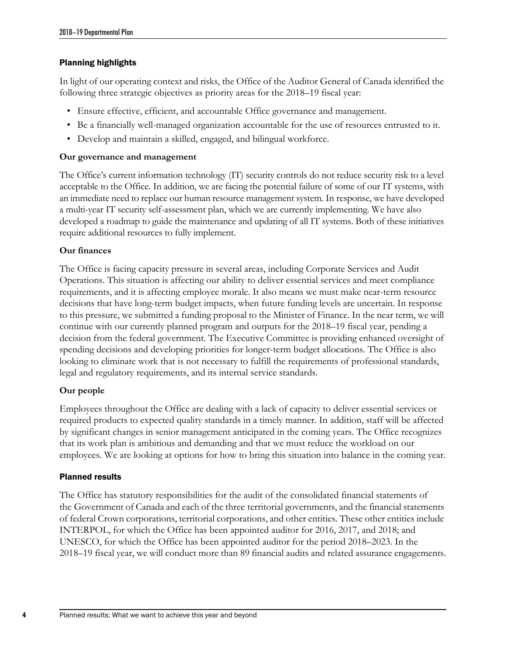#### Planning highlights

In light of our operating context and risks, the Office of the Auditor General of Canada identified the following three strategic objectives as priority areas for the 2018–19 fiscal year:

- Ensure effective, efficient, and accountable Office governance and management.
- Be a financially well-managed organization accountable for the use of resources entrusted to it.
- Develop and maintain a skilled, engaged, and bilingual workforce.

#### **Our governance and management**

The Office's current information technology (IT) security controls do not reduce security risk to a level acceptable to the Office. In addition, we are facing the potential failure of some of our IT systems, with an immediate need to replace our human resource management system. In response, we have developed a multi-year IT security self-assessment plan, which we are currently implementing. We have also developed a roadmap to guide the maintenance and updating of all IT systems. Both of these initiatives require additional resources to fully implement.

#### **Our finances**

The Office is facing capacity pressure in several areas, including Corporate Services and Audit Operations. This situation is affecting our ability to deliver essential services and meet compliance requirements, and it is affecting employee morale. It also means we must make near-term resource decisions that have long-term budget impacts, when future funding levels are uncertain. In response to this pressure, we submitted a funding proposal to the Minister of Finance. In the near term, we will continue with our currently planned program and outputs for the 2018–19 fiscal year, pending a decision from the federal government. The Executive Committee is providing enhanced oversight of spending decisions and developing priorities for longer-term budget allocations. The Office is also looking to eliminate work that is not necessary to fulfill the requirements of professional standards, legal and regulatory requirements, and its internal service standards.

#### **Our people**

Employees throughout the Office are dealing with a lack of capacity to deliver essential services or required products to expected quality standards in a timely manner. In addition, staff will be affected by significant changes in senior management anticipated in the coming years. The Office recognizes that its work plan is ambitious and demanding and that we must reduce the workload on our employees. We are looking at options for how to bring this situation into balance in the coming year.

#### Planned results

The Office has statutory responsibilities for the audit of the consolidated financial statements of the Government of Canada and each of the three territorial governments, and the financial statements of federal Crown corporations, territorial corporations, and other entities. These other entities include INTERPOL, for which the Office has been appointed auditor for 2016, 2017, and 2018; and UNESCO, for which the Office has been appointed auditor for the period 2018–2023. In the 2018–19 fiscal year, we will conduct more than 89 financial audits and related assurance engagements.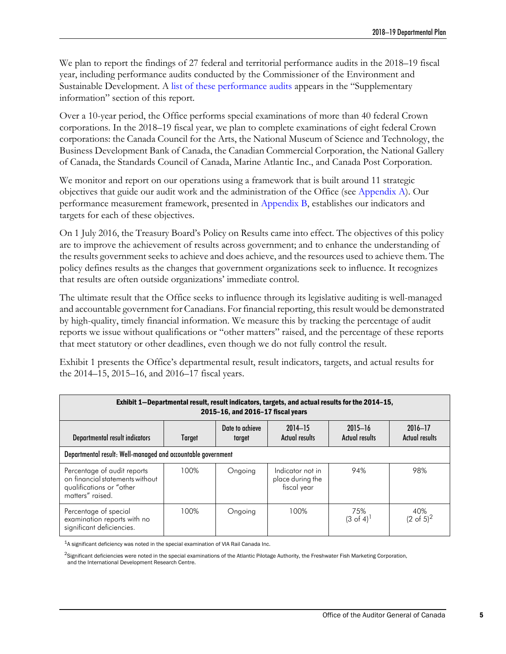We plan to report the findings of 27 federal and territorial performance audits in the 2018–19 fiscal year, including performance audits conducted by the Commissioner of the Environment and Sustainable Development. A [list of these performance audits](#page-15-1) appears in the "Supplementary information" section of this report.

Over a 10-year period, the Office performs special examinations of more than 40 federal Crown corporations. In the 2018–19 fiscal year, we plan to complete examinations of eight federal Crown corporations: the Canada Council for the Arts, the National Museum of Science and Technology, the Business Development Bank of Canada, the Canadian Commercial Corporation, the National Gallery of Canada, the Standards Council of Canada, Marine Atlantic Inc., and Canada Post Corporation.

We monitor and report on our operations using a framework that is built around 11 strategic objectives that guide our audit work and the administration of the Office (see [Appendix A\)](#page-18-1). Our performance measurement framework, presented in [Appendix B,](#page-20-1) establishes our indicators and targets for each of these objectives.

On 1 July 2016, the Treasury Board's Policy on Results came into effect. The objectives of this policy are to improve the achievement of results across government; and to enhance the understanding of the results government seeks to achieve and does achieve, and the resources used to achieve them. The policy defines results as the changes that government organizations seek to influence. It recognizes that results are often outside organizations' immediate control.

The ultimate result that the Office seeks to influence through its legislative auditing is well-managed and accountable government for Canadians. For financial reporting, this result would be demonstrated by high-quality, timely financial information. We measure this by tracking the percentage of audit reports we issue without qualifications or "other matters" raised, and the percentage of these reports that meet statutory or other deadlines, even though we do not fully control the result.

Exhibit 1 presents the Office's departmental result, result indicators, targets, and actual results for the 2014–15, 2015–16, and 2016–17 fiscal years.

| Exhibit 1-Departmental result, result indicators, targets, and actual results for the 2014-15,<br>2015-16, and 2016-17 fiscal years |        |                           |                                                     |                                      |                               |  |  |  |  |
|-------------------------------------------------------------------------------------------------------------------------------------|--------|---------------------------|-----------------------------------------------------|--------------------------------------|-------------------------------|--|--|--|--|
| Departmental result indicators                                                                                                      | Target | Date to achieve<br>target | $2014 - 15$<br><b>Actual results</b>                | $2015 - 16$<br><b>Actual results</b> | $2016 - 17$<br>Actual results |  |  |  |  |
| Departmental result: Well-managed and accountable government                                                                        |        |                           |                                                     |                                      |                               |  |  |  |  |
| Percentage of audit reports<br>on financial statements without<br>qualifications or "other<br>matters" raised.                      | 100%   | Ongoing                   | Indicator not in<br>place during the<br>fiscal year | 94%                                  | 98%                           |  |  |  |  |
| Percentage of special<br>examination reports with no<br>significant deficiencies.                                                   | 100%   | Ongoing                   | 100%                                                | 75%<br>$(3 \text{ of } 4)^{1}$       | 40%<br>$(2 \text{ of } 5)^2$  |  |  |  |  |

1A significant deficiency was noted in the special examination of VIA Rail Canada Inc.

<sup>2</sup>Significant deficiencies were noted in the special examinations of the Atlantic Pilotage Authority, the Freshwater Fish Marketing Corporation, and the International Development Research Centre.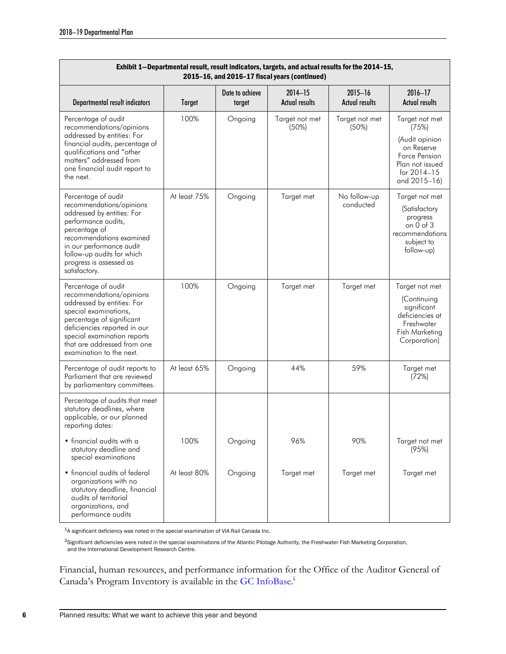| Exhibit 1-Departmental result, result indicators, targets, and actual results for the 2014-15,<br>2015-16, and 2016-17 fiscal years (continued)                                                                                                               |               |                           |                                      |                                      |                                                                                                                            |  |  |  |  |
|---------------------------------------------------------------------------------------------------------------------------------------------------------------------------------------------------------------------------------------------------------------|---------------|---------------------------|--------------------------------------|--------------------------------------|----------------------------------------------------------------------------------------------------------------------------|--|--|--|--|
| Departmental result indicators                                                                                                                                                                                                                                | <b>Target</b> | Date to achieve<br>target | $2014 - 15$<br><b>Actual results</b> | $2015 - 16$<br><b>Actual results</b> | $2016 - 17$<br><b>Actual results</b>                                                                                       |  |  |  |  |
| Percentage of audit<br>recommendations/opinions<br>addressed by entities: For<br>financial audits, percentage of<br>qualifications and "other<br>matters" addressed from<br>one financial audit report to<br>the next.                                        | 100%          | Ongoing                   | Target not met<br>(50%)              | Target not met<br>(50%)              | Target not met<br>(75%)<br>(Audit opinion<br>on Reserve<br>Force Pension<br>Plan not issued<br>for 2014-15<br>and 2015-16) |  |  |  |  |
| Percentage of audit<br>recommendations/opinions<br>addressed by entities: For<br>performance audits,<br>percentage of<br>recommendations examined<br>in our performance audit<br>follow-up audits for which<br>progress is assessed as<br>satisfactory.       | At least 75%  | Ongoing                   | Target met                           | No follow-up<br>conducted            | Target not met<br>(Satisfactory<br>progress<br>on $0$ of $3$<br>recommendations<br>subject to<br>follow-up)                |  |  |  |  |
| Percentage of audit<br>recommendations/opinions<br>addressed by entities: For<br>special examinations,<br>percentage of significant<br>deficiencies reported in our<br>special examination reports<br>that are addressed from one<br>examination to the next. | 100%          | Ongoing                   | Target met                           | Target met                           | Target not met<br>(Continuing<br>significant<br>deficiencies at<br>Freshwater<br>Fish Marketing<br>Corporation)            |  |  |  |  |
| Percentage of audit reports to<br>Parliament that are reviewed<br>by parliamentary committees.                                                                                                                                                                | At least 65%  | Ongoing                   | 44%                                  | 59%                                  | Target met<br>(72%)                                                                                                        |  |  |  |  |
| Percentage of audits that meet<br>statutory deadlines, where<br>applicable, or our planned<br>reporting dates:                                                                                                                                                |               |                           |                                      |                                      |                                                                                                                            |  |  |  |  |
| • financial audits with a<br>statutory deadline and<br>special examinations                                                                                                                                                                                   | 100%          | Ongoing                   | 96%                                  | 90%                                  | Target not met<br>(95%)                                                                                                    |  |  |  |  |
| • financial audits of federal<br>organizations with no<br>statutory deadline, financial<br>audits of territorial<br>organizations, and<br>performance audits                                                                                                  | At least 80%  | Ongoing                   | Target met                           | Target met                           | Target met                                                                                                                 |  |  |  |  |

1A significant deficiency was noted in the special examination of VIA Rail Canada Inc.

<sup>2</sup>Significant deficiencies were noted in the special examinations of the Atlantic Pilotage Authority, the Freshwater Fish Marketing Corporation, and the International Development Research Centre.

Financial, human resources, and performance information for the Office of the Auditor General of Canada's Program Inventory is available in the [GC InfoBase.](https://www.tbs-sct.gc.ca/ems-sgd/edb-bdd/index-eng.html#start)<sup>1</sup>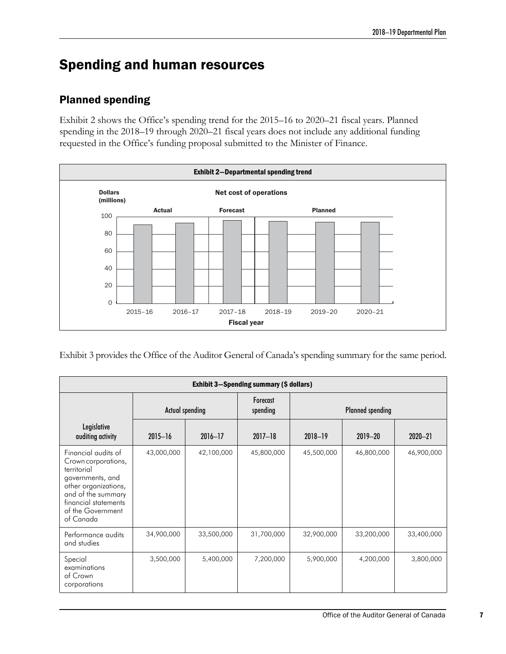# <span id="page-10-0"></span>Spending and human resources

### <span id="page-10-1"></span>Planned spending

Exhibit 2 shows the Office's spending trend for the 2015–16 to 2020–21 fiscal years. Planned spending in the 2018–19 through 2020–21 fiscal years does not include any additional funding requested in the Office's funding proposal submitted to the Minister of Finance.



Exhibit 3 provides the Office of the Auditor General of Canada's spending summary for the same period.

| <b>Exhibit 3–Spending summary (\$ dollars)</b>                                                                                                                                        |                        |             |                      |                         |             |             |  |  |
|---------------------------------------------------------------------------------------------------------------------------------------------------------------------------------------|------------------------|-------------|----------------------|-------------------------|-------------|-------------|--|--|
|                                                                                                                                                                                       | <b>Actual spending</b> |             | Forecast<br>spending | <b>Planned spending</b> |             |             |  |  |
| Legislative<br>auditing activity                                                                                                                                                      | $2015 - 16$            | $2016 - 17$ | $2017 - 18$          | 2018-19                 | $2019 - 20$ | $2020 - 21$ |  |  |
| Financial audits of<br>Crown corporations,<br>territorial<br>governments, and<br>other organizations,<br>and of the summary<br>financial statements<br>of the Government<br>of Canada | 43,000,000             | 42,100,000  | 45,800,000           | 45,500,000              | 46,800,000  | 46,900,000  |  |  |
| Performance audits<br>and studies                                                                                                                                                     | 34,900,000             | 33,500,000  | 31,700,000           | 32,900,000              | 33,200,000  | 33,400,000  |  |  |
| Special<br>examinations<br>of Crown<br>corporations                                                                                                                                   | 3,500,000              | 5,400,000   | 7,200,000            | 5,900,000               | 4,200,000   | 3,800,000   |  |  |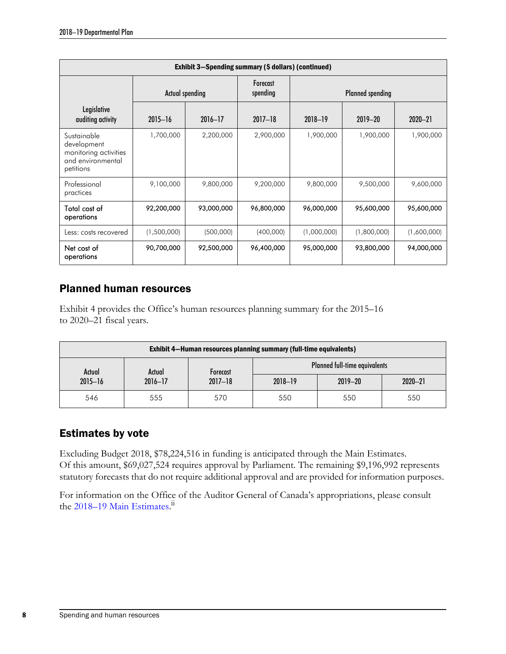| Exhibit 3-Spending summary (\$ dollars) (continued)                                   |                        |             |                      |             |             |             |  |  |
|---------------------------------------------------------------------------------------|------------------------|-------------|----------------------|-------------|-------------|-------------|--|--|
|                                                                                       | <b>Actual spending</b> |             | Forecast<br>spending |             |             |             |  |  |
| Legislative<br>auditing activity                                                      | $2015 - 16$            | $2016 - 17$ | $2017 - 18$          | 2018-19     | $2019 - 20$ | $2020 - 21$ |  |  |
| Sustainable<br>development<br>monitoring activities<br>and environmental<br>petitions | 1,700,000              | 2,200,000   | 2,900,000            | 1,900,000   | 1,900,000   | 1,900,000   |  |  |
| Professional<br>practices                                                             | 9,100,000              | 9,800,000   | 9,200,000            | 9,800,000   | 9,500,000   | 9,600,000   |  |  |
| Total cost of<br>operations                                                           | 92,200,000             | 93,000,000  | 96,800,000           | 96,000,000  | 95,600,000  | 95,600,000  |  |  |
| Less: costs recovered                                                                 | (1,500,000)            | (500,000)   | (400,000)            | (1,000,000) | (1,800,000) | (1,600,000) |  |  |
| Net cost of<br>operations                                                             | 90,700,000             | 92,500,000  | 96,400,000           | 95,000,000  | 93,800,000  | 94,000,000  |  |  |

### <span id="page-11-0"></span>Planned human resources

Exhibit 4 provides the Office's human resources planning summary for the 2015–16 to 2020–21 fiscal years.

| <b>Exhibit 4–Human resources planning summary (full-time equivalents)</b> |             |                 |         |                                      |             |  |  |
|---------------------------------------------------------------------------|-------------|-----------------|---------|--------------------------------------|-------------|--|--|
| Actual                                                                    | Actual      | <b>Forecast</b> |         | <b>Planned full-time equivalents</b> |             |  |  |
| $2015 - 16$                                                               | $2016 - 17$ | $2017 - 18$     | 2018-19 | $2019 - 20$                          | $2020 - 21$ |  |  |
| 546                                                                       | 555         | 570             | 550     | 550                                  | 550         |  |  |

### <span id="page-11-1"></span>Estimates by vote

Excluding Budget 2018, \$78,224,516 in funding is anticipated through the Main Estimates. Of this amount, \$69,027,524 requires approval by Parliament. The remaining \$9,196,992 represents statutory forecasts that do not require additional approval and are provided for information purposes.

For information on the Office of the Auditor General of Canada's appropriations, please consult the [2018–19 Main Estimates.](https://www.canada.ca/en/treasury-board-secretariat/services/planned-government-spending/government-expenditure-plan-main-estimates.html)<sup>ii</sup>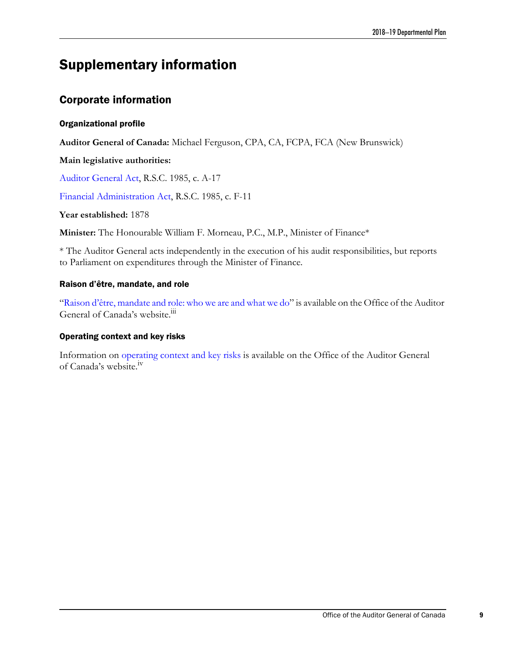# <span id="page-12-0"></span>Supplementary information

### <span id="page-12-1"></span>Corporate information

#### Organizational profile

**Auditor General of Canada:** Michael Ferguson, CPA, CA, FCPA, FCA (New Brunswick)

#### **Main legislative authorities:**

[Auditor General Act,](http://laws-lois.justice.gc.ca/eng/acts/A-17/index.html) R.S.C. 1985, c. A-17

[Financial Administration Act,](http://laws-lois.justice.gc.ca/eng/acts/F-11/index.html) R.S.C. 1985, c. F-11

#### **Year established:** 1878

**Minister:** The Honourable William F. Morneau, P.C., M.P., Minister of Finance\*

\* The Auditor General acts independently in the execution of his audit responsibilities, but reports to Parliament on expenditures through the Minister of Finance.

#### Raison d'être, mandate, and role

["Raison d'être, mandate and role: who we are and what we do"](http://www.oag-bvg.gc.ca/internet/English/acc_rpt_e_42885.html) is available on the Office of the Auditor General of Canada's website.<sup>iii</sup>

#### Operating context and key risks

Information on [operating context and key risks](http://www.oag-bvg.gc.ca/internet/English/acc_rpt_e_42886.html) is available on the Office of the Auditor General of Canada's website.iv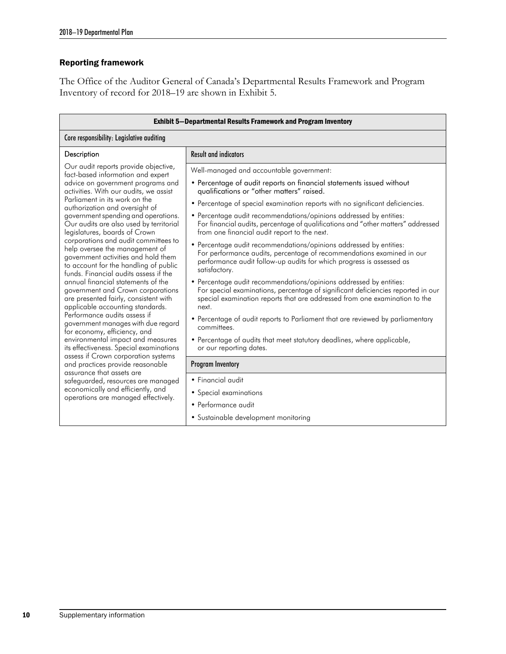#### Reporting framework

The Office of the Auditor General of Canada's Departmental Results Framework and Program Inventory of record for 2018–19 are shown in Exhibit 5.

| <b>Exhibit 5-Departmental Results Framework and Program Inventory</b>                                                                                                                           |                                                                                                                                                                                                                                               |  |  |  |  |  |  |  |
|-------------------------------------------------------------------------------------------------------------------------------------------------------------------------------------------------|-----------------------------------------------------------------------------------------------------------------------------------------------------------------------------------------------------------------------------------------------|--|--|--|--|--|--|--|
| Core responsibility: Legislative auditing                                                                                                                                                       |                                                                                                                                                                                                                                               |  |  |  |  |  |  |  |
| Description                                                                                                                                                                                     | <b>Result and indicators</b>                                                                                                                                                                                                                  |  |  |  |  |  |  |  |
| Our audit reports provide objective,<br>fact-based information and expert                                                                                                                       | Well-managed and accountable government:                                                                                                                                                                                                      |  |  |  |  |  |  |  |
| advice on government programs and<br>activities. With our audits, we assist                                                                                                                     | • Percentage of audit reports on financial statements issued without<br>qualifications or "other matters" raised.                                                                                                                             |  |  |  |  |  |  |  |
| Parliament in its work on the<br>authorization and oversight of                                                                                                                                 | • Percentage of special examination reports with no significant deficiencies.                                                                                                                                                                 |  |  |  |  |  |  |  |
| government spending and operations.<br>Our audits are also used by territorial<br>legislatures, boards of Crown                                                                                 | • Percentage audit recommendations/opinions addressed by entities:<br>For financial audits, percentage of qualifications and "other matters" addressed<br>from one financial audit report to the next.                                        |  |  |  |  |  |  |  |
| corporations and audit committees to<br>help oversee the management of<br>government activities and hold them<br>to account for the handling of public<br>funds. Financial audits assess if the | • Percentage audit recommendations/opinions addressed by entities:<br>For performance audits, percentage of recommendations examined in our<br>performance audit follow-up audits for which progress is assessed as<br>satisfactory.          |  |  |  |  |  |  |  |
| annual financial statements of the<br>government and Crown corporations<br>are presented fairly, consistent with<br>applicable accounting standards.                                            | • Percentage audit recommendations/opinions addressed by entities:<br>For special examinations, percentage of significant deficiencies reported in our<br>special examination reports that are addressed from one examination to the<br>next. |  |  |  |  |  |  |  |
| Performance audits assess if<br>government manages with due regard<br>for economy, efficiency, and                                                                                              | • Percentage of audit reports to Parliament that are reviewed by parliamentary<br>committees.                                                                                                                                                 |  |  |  |  |  |  |  |
| environmental impact and measures<br>its effectiveness. Special examinations<br>assess if Crown corporation systems                                                                             | • Percentage of audits that meet statutory deadlines, where applicable,<br>or our reporting dates.                                                                                                                                            |  |  |  |  |  |  |  |
| and practices provide reasonable<br>assurance that assets are                                                                                                                                   | <b>Program Inventory</b>                                                                                                                                                                                                                      |  |  |  |  |  |  |  |
| safeguarded, resources are managed                                                                                                                                                              | • Financial audit                                                                                                                                                                                                                             |  |  |  |  |  |  |  |
| economically and efficiently, and<br>operations are managed effectively.                                                                                                                        | • Special examinations                                                                                                                                                                                                                        |  |  |  |  |  |  |  |
|                                                                                                                                                                                                 | • Performance audit                                                                                                                                                                                                                           |  |  |  |  |  |  |  |
|                                                                                                                                                                                                 | • Sustainable development monitoring                                                                                                                                                                                                          |  |  |  |  |  |  |  |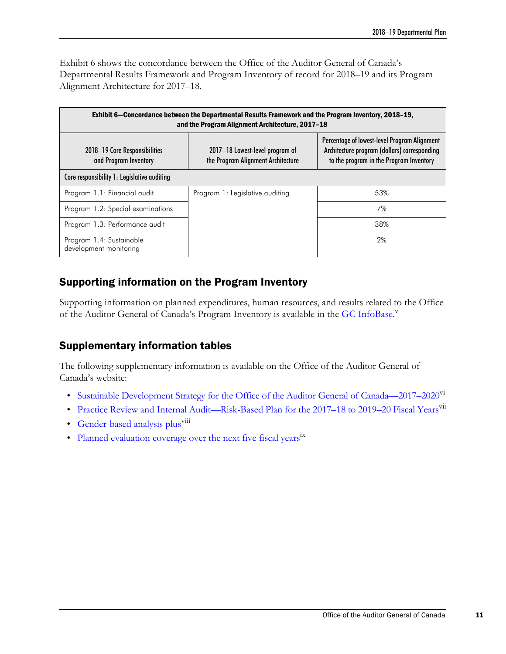Exhibit 6 shows the concordance between the Office of the Auditor General of Canada's Departmental Results Framework and Program Inventory of record for 2018–19 and its Program Alignment Architecture for 2017–18.

| Exhibit 6–Concordance between the Departmental Results Framework and the Program Inventory, 2018-19,<br>and the Program Alignment Architecture, 2017-18 |                                                                       |                                                                                                                                         |  |  |  |  |  |  |
|---------------------------------------------------------------------------------------------------------------------------------------------------------|-----------------------------------------------------------------------|-----------------------------------------------------------------------------------------------------------------------------------------|--|--|--|--|--|--|
| 2018–19 Core Responsibilities<br>and Program Inventory                                                                                                  | 2017-18 Lowest-level program of<br>the Program Alignment Architecture | Percentage of lowest-level Program Alignment<br>Architecture program (dollars) corresponding<br>to the program in the Program Inventory |  |  |  |  |  |  |
| Core responsibility 1: Legislative auditing                                                                                                             |                                                                       |                                                                                                                                         |  |  |  |  |  |  |
| Program 1.1: Financial audit                                                                                                                            | Program 1: Legislative auditing                                       | 53%                                                                                                                                     |  |  |  |  |  |  |
| Program 1.2: Special examinations                                                                                                                       |                                                                       | 7%                                                                                                                                      |  |  |  |  |  |  |
| Program 1.3: Performance audit                                                                                                                          |                                                                       | 38%                                                                                                                                     |  |  |  |  |  |  |
| Program 1.4: Sustainable<br>development monitoring                                                                                                      |                                                                       | 2%                                                                                                                                      |  |  |  |  |  |  |

### <span id="page-14-0"></span>Supporting information on the Program Inventory

Supporting information on planned expenditures, human resources, and results related to the Office of the Auditor General of Canada's Program Inventory is available in the [GC InfoBase.](https://www.tbs-sct.gc.ca/ems-sgd/edb-bdd/index-eng.html#start)<sup>V</sup>

### <span id="page-14-1"></span>Supplementary information tables

The following supplementary information is available on the Office of the Auditor General of Canada's website:

- Sustainable Development Strategy for the Office of the Auditor General of Canada—2017–2020<sup>VI</sup>
- Practice Review and Internal Audit—Risk-Based Plan for the 2017–18 to 2019–20 Fiscal Years<sup>vii</sup>
- Gender-based analysis plus<sup>viii</sup>
- [Planned evaluation coverage over the next five fiscal years](http://www.oag-bvg.gc.ca/internet/English/acc_rpt_e_42888.html)<sup>ix</sup>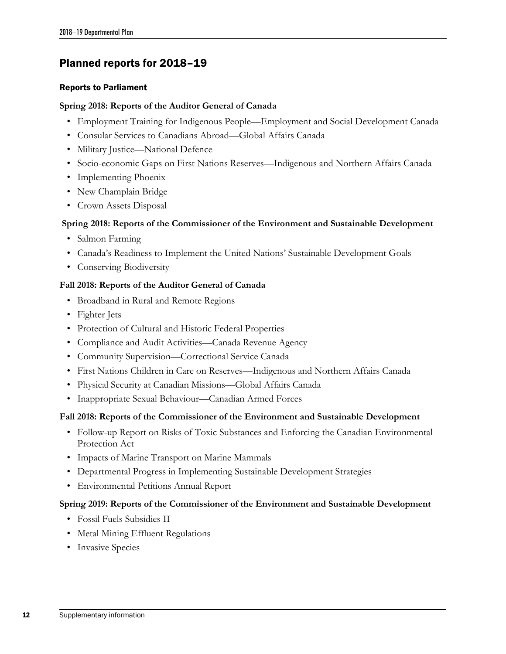### <span id="page-15-1"></span><span id="page-15-0"></span>Planned reports for 2018–19

#### Reports to Parliament

#### **Spring 2018: Reports of the Auditor General of Canada**

- Employment Training for Indigenous People—Employment and Social Development Canada
- Consular Services to Canadians Abroad—Global Affairs Canada
- Military Justice—National Defence
- Socio-economic Gaps on First Nations Reserves—Indigenous and Northern Affairs Canada
- Implementing Phoenix
- New Champlain Bridge
- Crown Assets Disposal

#### **Spring 2018: Reports of the Commissioner of the Environment and Sustainable Development**

- Salmon Farming
- Canada's Readiness to Implement the United Nations' Sustainable Development Goals
- Conserving Biodiversity

#### **Fall 2018: Reports of the Auditor General of Canada**

- Broadband in Rural and Remote Regions
- Fighter Jets
- Protection of Cultural and Historic Federal Properties
- Compliance and Audit Activities—Canada Revenue Agency
- Community Supervision—Correctional Service Canada
- First Nations Children in Care on Reserves—Indigenous and Northern Affairs Canada
- Physical Security at Canadian Missions—Global Affairs Canada
- Inappropriate Sexual Behaviour—Canadian Armed Forces

#### **Fall 2018: Reports of the Commissioner of the Environment and Sustainable Development**

- Follow-up Report on Risks of Toxic Substances and Enforcing the Canadian Environmental Protection Act
- Impacts of Marine Transport on Marine Mammals
- Departmental Progress in Implementing Sustainable Development Strategies
- Environmental Petitions Annual Report

#### **Spring 2019: Reports of the Commissioner of the Environment and Sustainable Development**

- Fossil Fuels Subsidies II
- Metal Mining Effluent Regulations
- Invasive Species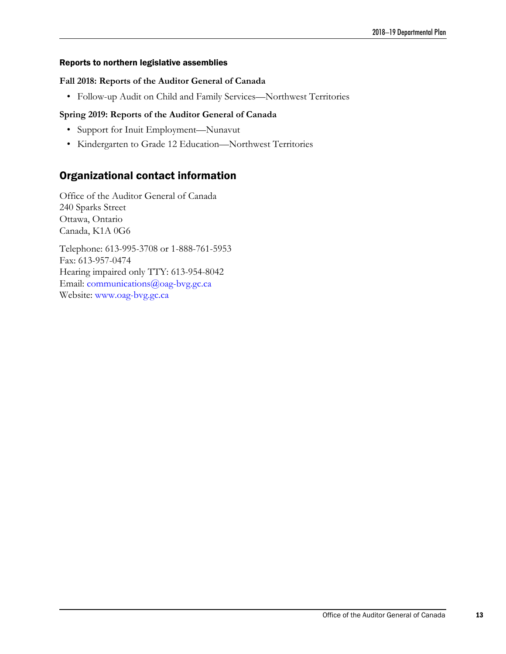#### Reports to northern legislative assemblies

#### **Fall 2018: Reports of the Auditor General of Canada**

• Follow-up Audit on Child and Family Services—Northwest Territories

#### **Spring 2019: Reports of the Auditor General of Canada**

- Support for Inuit Employment—Nunavut
- Kindergarten to Grade 12 Education—Northwest Territories

### <span id="page-16-0"></span>Organizational contact information

Office of the Auditor General of Canada 240 Sparks Street Ottawa, Ontario Canada, K1A 0G6

Telephone: 613-995-3708 or 1-888-761-5953 Fax: 613-957-0474 Hearing impaired only TTY: 613-954-8042 Email: communications@oag-bvg.gc.ca Website: www.oag-bvg.gc.ca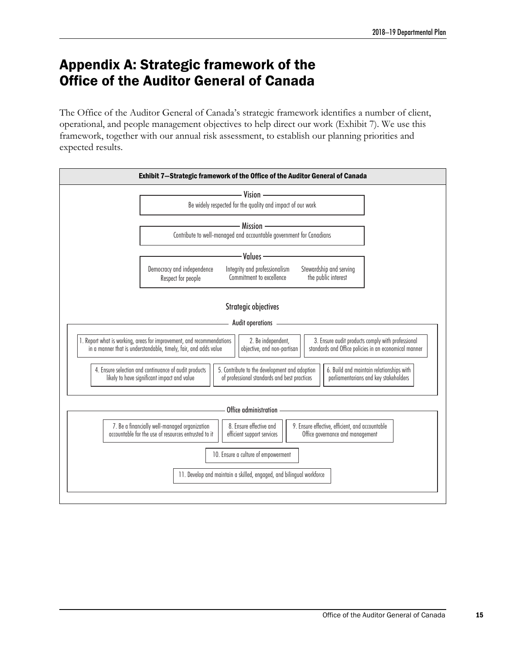# <span id="page-18-1"></span><span id="page-18-0"></span>Appendix A: Strategic framework of the Office of the Auditor General of Canada

The Office of the Auditor General of Canada's strategic framework identifies a number of client, operational, and people management objectives to help direct our work (Exhibit 7). We use this framework, together with our annual risk assessment, to establish our planning priorities and expected results.

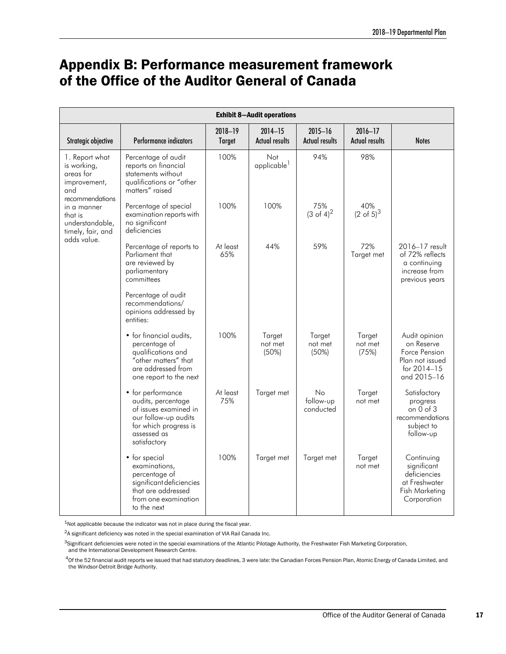# <span id="page-20-1"></span><span id="page-20-0"></span>Appendix B: Performance measurement framework of the Office of the Auditor General of Canada

| <b>Exhibit 8-Audit operations</b>                                                    |                                                                                                                                                  |                          |                                      |                                      |                                      |                                                                                               |  |  |
|--------------------------------------------------------------------------------------|--------------------------------------------------------------------------------------------------------------------------------------------------|--------------------------|--------------------------------------|--------------------------------------|--------------------------------------|-----------------------------------------------------------------------------------------------|--|--|
| Strategic objective                                                                  | <b>Performance indicators</b>                                                                                                                    | 2018-19<br><b>Target</b> | $2014 - 15$<br><b>Actual results</b> | $2015 - 16$<br><b>Actual results</b> | $2016 - 17$<br><b>Actual results</b> | <b>Notes</b>                                                                                  |  |  |
| 1. Report what<br>is working,<br>areas for<br>improvement,<br>and<br>recommendations | Percentage of audit<br>reports on financial<br>statements without<br>qualifications or "other<br>matters" raised                                 | 100%                     | Not<br>applicable <sup>1</sup>       | 94%                                  | 98%                                  |                                                                                               |  |  |
| in a manner<br>that is<br>understandable,<br>timely, fair, and                       | Percentage of special<br>examination reports with<br>no significant<br>deficiencies                                                              | 100%                     | 100%                                 | 75%<br>$(3 \text{ of } 4)^2$         | 40%<br>$(2 \text{ of } 5)^3$         |                                                                                               |  |  |
| adds value.                                                                          | Percentage of reports to<br>Parliament that<br>are reviewed by<br>parliamentary<br>committees                                                    | At least<br>65%          | 44%                                  | 59%                                  | 72%<br>Target met                    | 2016-17 result<br>of 72% reflects<br>a continuing<br>increase from<br>previous years          |  |  |
|                                                                                      | Percentage of audit<br>recommendations/<br>opinions addressed by<br>entities:                                                                    |                          |                                      |                                      |                                      |                                                                                               |  |  |
|                                                                                      | • for financial audits,<br>percentage of<br>qualifications and<br>"other matters" that<br>are addressed from<br>one report to the next           | 100%                     | Target<br>not met<br>(50%)           | Target<br>not met<br>(50%)           | Target<br>not met<br>(75%)           | Audit opinion<br>on Reserve<br>Force Pension<br>Plan not issued<br>for 2014-15<br>and 2015-16 |  |  |
|                                                                                      | • for performance<br>audits, percentage<br>of issues examined in<br>our follow-up audits<br>for which progress is<br>assessed as<br>satisfactory | At least<br>75%          | Target met                           | No<br>follow-up<br>conducted         | Target<br>not met                    | Satisfactory<br>progress<br>on $0$ of $3$<br>recommendations<br>subject to<br>follow-up       |  |  |
|                                                                                      | • for special<br>examinations,<br>percentage of<br>significant deficiencies<br>that are addressed<br>from one examination<br>to the next         | 100%                     | Target met                           | Target met                           | Target<br>not met                    | Continuing<br>significant<br>deficiencies<br>at Freshwater<br>Fish Marketing<br>Corporation   |  |  |

<sup>1</sup>Not applicable because the indicator was not in place during the fiscal year.

2A significant deficiency was noted in the special examination of VIA Rail Canada Inc.

<sup>3</sup>Significant deficiencies were noted in the special examinations of the Atlantic Pilotage Authority, the Freshwater Fish Marketing Corporation, and the International Development Research Centre.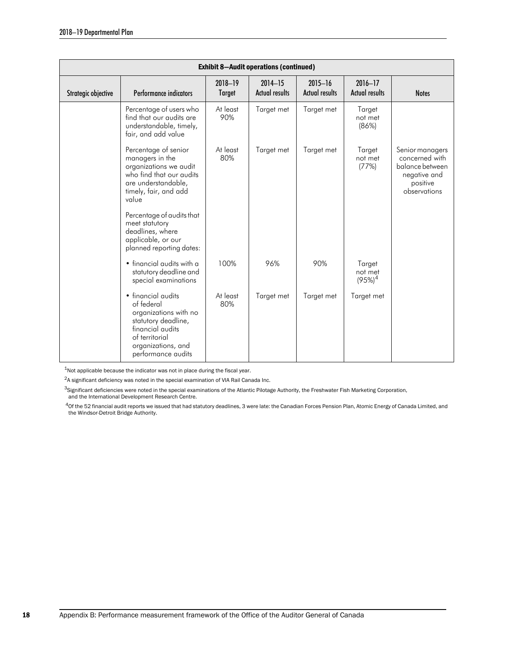| <b>Exhibit 8-Audit operations (continued)</b> |                                                                                                                                                                    |                          |                                      |                                      |                                         |                                                                                                  |  |  |  |
|-----------------------------------------------|--------------------------------------------------------------------------------------------------------------------------------------------------------------------|--------------------------|--------------------------------------|--------------------------------------|-----------------------------------------|--------------------------------------------------------------------------------------------------|--|--|--|
| Strategic objective                           | Performance indicators                                                                                                                                             | 2018-19<br><b>Target</b> | $2014 - 15$<br><b>Actual results</b> | $2015 - 16$<br><b>Actual results</b> | $2016 - 17$<br><b>Actual results</b>    | <b>Notes</b>                                                                                     |  |  |  |
|                                               | Percentage of users who<br>find that our audits are<br>understandable, timely,<br>fair, and add value                                                              | At least<br>90%          | Target met                           | Target met                           | Target<br>not met<br>(86%)              |                                                                                                  |  |  |  |
|                                               | Percentage of senior<br>managers in the<br>organizations we audit<br>who find that our audits<br>are understandable,<br>timely, fair, and add<br>value             | At least<br>80%          | Target met                           | Target met                           | Target<br>not met<br>(77%)              | Senior managers<br>concerned with<br>balance between<br>negative and<br>positive<br>observations |  |  |  |
|                                               | Percentage of audits that<br>meet statutory<br>deadlines, where<br>applicable, or our<br>planned reporting dates:                                                  |                          |                                      |                                      |                                         |                                                                                                  |  |  |  |
|                                               | • financial audits with a<br>statutory deadline and<br>special examinations                                                                                        | 100%                     | 96%                                  | 90%                                  | Target<br>not met<br>(95%) <sup>4</sup> |                                                                                                  |  |  |  |
|                                               | • financial audits<br>of federal<br>organizations with no<br>statutory deadline,<br>financial audits<br>of territorial<br>organizations, and<br>performance audits | At least<br>80%          | Target met                           | Target met                           | Target met                              |                                                                                                  |  |  |  |

<sup>1</sup>Not applicable because the indicator was not in place during the fiscal year.

2A significant deficiency was noted in the special examination of VIA Rail Canada Inc.

3Significant deficiencies were noted in the special examinations of the Atlantic Pilotage Authority, the Freshwater Fish Marketing Corporation,

and the International Development Research Centre.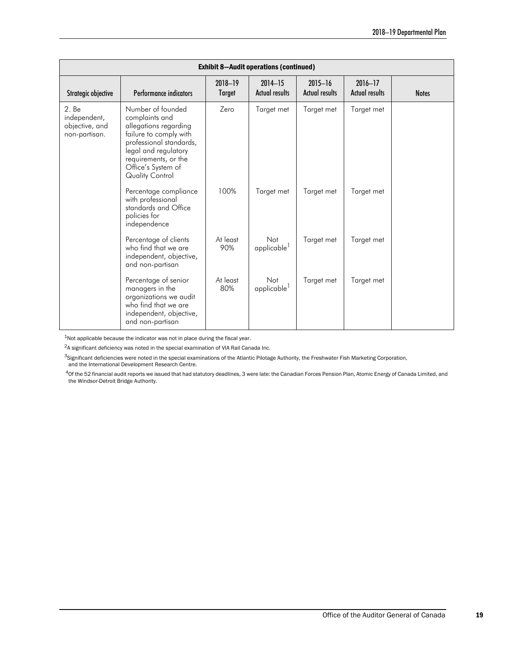| <b>Exhibit 8-Audit operations (continued)</b>            |                                                                                                                                                                                                            |                          |                                      |                                      |                                      |              |  |  |  |
|----------------------------------------------------------|------------------------------------------------------------------------------------------------------------------------------------------------------------------------------------------------------------|--------------------------|--------------------------------------|--------------------------------------|--------------------------------------|--------------|--|--|--|
| Strategic objective                                      | Performance indicators                                                                                                                                                                                     | 2018-19<br><b>Target</b> | $2014 - 15$<br><b>Actual results</b> | $2015 - 16$<br><b>Actual results</b> | $2016 - 17$<br><b>Actual results</b> | <b>Notes</b> |  |  |  |
| 2. Be<br>independent,<br>objective, and<br>non-partisan. | Number of founded<br>complaints and<br>allegations regarding<br>failure to comply with<br>professional standards,<br>legal and regulatory<br>requirements, or the<br>Office's System of<br>Quality Control | Zero                     | Target met                           | Target met                           | Target met                           |              |  |  |  |
|                                                          | Percentage compliance<br>with professional<br>standards and Office<br>policies for<br>independence                                                                                                         | 100%                     | Target met                           | Target met                           | Target met                           |              |  |  |  |
|                                                          | Percentage of clients<br>who find that we are<br>independent, objective,<br>and non-partisan                                                                                                               | At least<br>90%          | Not<br>applicable <sup>1</sup>       | Target met                           | Target met                           |              |  |  |  |
|                                                          | Percentage of senior<br>managers in the<br>organizations we audit<br>who find that we are<br>independent, objective,<br>and non-partisan                                                                   | At least<br>80%          | Not<br>applicable <sup>1</sup>       | Target met                           | Target met                           |              |  |  |  |

<sup>1</sup>Not applicable because the indicator was not in place during the fiscal year.

 ${}^{2}$ A significant deficiency was noted in the special examination of VIA Rail Canada Inc.

3Significant deficiencies were noted in the special examinations of the Atlantic Pilotage Authority, the Freshwater Fish Marketing Corporation, and the International Development Research Centre.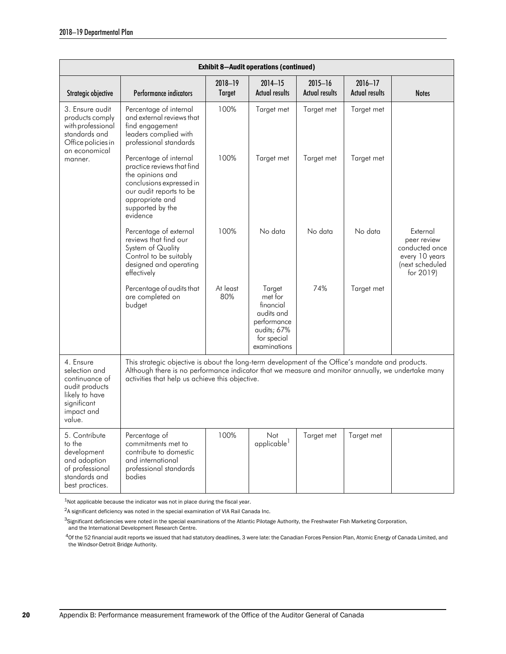| <b>Exhibit 8-Audit operations (continued)</b>                                                                              |                                                                                                                                                                                                                                                            |                          |                                                                                                           |                                      |                                      |                                                                                             |  |  |
|----------------------------------------------------------------------------------------------------------------------------|------------------------------------------------------------------------------------------------------------------------------------------------------------------------------------------------------------------------------------------------------------|--------------------------|-----------------------------------------------------------------------------------------------------------|--------------------------------------|--------------------------------------|---------------------------------------------------------------------------------------------|--|--|
| Strategic objective                                                                                                        | Performance indicators                                                                                                                                                                                                                                     | 2018-19<br><b>Target</b> | $2014 - 15$<br><b>Actual results</b>                                                                      | $2015 - 16$<br><b>Actual results</b> | $2016 - 17$<br><b>Actual results</b> | <b>Notes</b>                                                                                |  |  |
| 3. Ensure audit<br>products comply<br>with professional<br>standards and<br>Office policies in<br>an economical<br>manner. | Percentage of internal<br>and external reviews that<br>find engagement<br>leaders complied with<br>professional standards                                                                                                                                  | 100%                     | Target met                                                                                                | Target met                           | Target met                           |                                                                                             |  |  |
|                                                                                                                            | Percentage of internal<br>practice reviews that find<br>the opinions and<br>conclusions expressed in<br>our audit reports to be<br>appropriate and<br>supported by the<br>evidence                                                                         | 100%                     | Target met                                                                                                | Target met                           | Target met                           |                                                                                             |  |  |
|                                                                                                                            | Percentage of external<br>reviews that find our<br>System of Quality<br>Control to be suitably<br>designed and operating<br>effectively                                                                                                                    | 100%                     | No data                                                                                                   | No data                              | No data                              | External<br>peer review<br>conducted once<br>every 10 years<br>(next scheduled<br>for 2019) |  |  |
|                                                                                                                            | Percentage of audits that<br>are completed on<br>budget                                                                                                                                                                                                    | At least<br>80%          | Target<br>met for<br>financial<br>audits and<br>performance<br>audits; 67%<br>for special<br>examinations | 74%                                  | Target met                           |                                                                                             |  |  |
| 4. Ensure<br>selection and<br>continuance of<br>audit products<br>likely to have<br>significant<br>impact and<br>value.    | This strategic objective is about the long-term development of the Office's mandate and products.<br>Although there is no performance indicator that we measure and monitor annually, we undertake many<br>activities that help us achieve this objective. |                          |                                                                                                           |                                      |                                      |                                                                                             |  |  |
| 5. Contribute<br>to the<br>development<br>and adoption<br>of professional<br>standards and<br>best practices.              | Percentage of<br>commitments met to<br>contribute to domestic<br>and international<br>professional standards<br>bodies                                                                                                                                     | 100%                     | Not<br>applicable <sup>1</sup>                                                                            | Target met                           | Target met                           |                                                                                             |  |  |

<sup>1</sup>Not applicable because the indicator was not in place during the fiscal year.

2A significant deficiency was noted in the special examination of VIA Rail Canada Inc.

3Significant deficiencies were noted in the special examinations of the Atlantic Pilotage Authority, the Freshwater Fish Marketing Corporation, and the International Development Research Centre.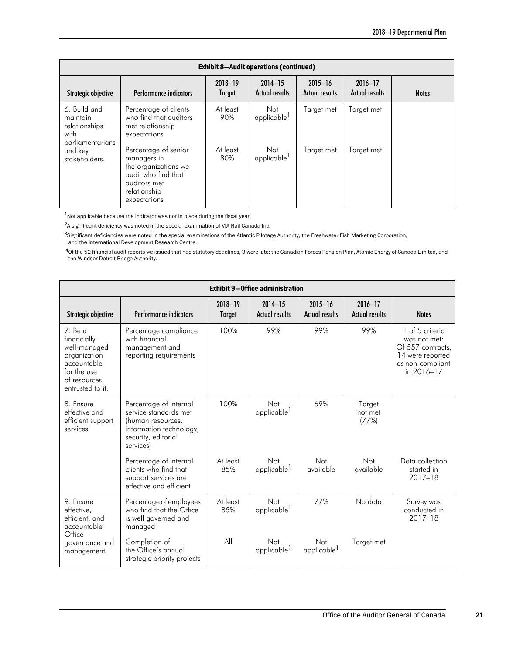| <b>Exhibit 8-Audit operations (continued)</b>                         |                                                                                                                                    |                   |                                      |                                      |                                      |              |
|-----------------------------------------------------------------------|------------------------------------------------------------------------------------------------------------------------------------|-------------------|--------------------------------------|--------------------------------------|--------------------------------------|--------------|
| Strategic objective                                                   | Performance indicators                                                                                                             | 2018-19<br>Target | $2014 - 15$<br><b>Actual results</b> | $2015 - 16$<br><b>Actual results</b> | $2016 - 17$<br><b>Actual results</b> | <b>Notes</b> |
| 6. Build and<br>maintain<br>relationships<br>with<br>parliamentarians | Percentage of clients<br>who find that auditors<br>met relationship<br>expectations                                                | At least<br>90%   | Not<br>applicable <sup>1</sup>       | Target met                           | Target met                           |              |
| and key<br>stakeholders.                                              | Percentage of senior<br>managers in<br>the organizations we<br>audit who find that<br>auditors met<br>relationship<br>expectations | At least<br>80%   | Not<br>applicable <sup>1</sup>       | Target met                           | Target met                           |              |

1Not applicable because the indicator was not in place during the fiscal year.

 $2A$  significant deficiency was noted in the special examination of VIA Rail Canada Inc.

<sup>3</sup>Significant deficiencies were noted in the special examinations of the Atlantic Pilotage Authority, the Freshwater Fish Marketing Corporation, and the International Development Research Centre.

| <b>Exhibit 9-Office administration</b>                                                                                     |                                                                                                                                     |                          |                                      |                                      |                                      |                                                                                                            |
|----------------------------------------------------------------------------------------------------------------------------|-------------------------------------------------------------------------------------------------------------------------------------|--------------------------|--------------------------------------|--------------------------------------|--------------------------------------|------------------------------------------------------------------------------------------------------------|
| Strategic objective                                                                                                        | Performance indicators                                                                                                              | 2018-19<br><b>Target</b> | $2014 - 15$<br><b>Actual results</b> | $2015 - 16$<br><b>Actual results</b> | $2016 - 17$<br><b>Actual results</b> | <b>Notes</b>                                                                                               |
| $7.$ Be a<br>financially<br>well-managed<br>organization<br>accountable<br>for the use<br>of resources<br>entrusted to it. | Percentage compliance<br>with financial<br>management and<br>reporting requirements                                                 | 100%                     | 99%                                  | 99%                                  | 99%                                  | 1 of 5 criteria<br>was not met:<br>Of 557 contracts,<br>14 were reported<br>as non-compliant<br>in 2016-17 |
| 8. Ensure<br>effective and<br>efficient support<br>services.                                                               | Percentage of internal<br>service standards met<br>(human resources,<br>information technology,<br>security, editorial<br>services) | 100%                     | Not<br>applicable <sup>1</sup>       | 69%                                  | Target<br>not met<br>(77%)           |                                                                                                            |
|                                                                                                                            | Percentage of internal<br>clients who find that<br>support services are<br>effective and efficient                                  | At least<br>85%          | Not<br>applicable                    | Not<br>available                     | Not<br>available                     | Data collection<br>started in<br>$2017 - 18$                                                               |
| 9. Ensure<br>effective,<br>efficient, and<br>accountable<br>Office<br>governance and<br>management.                        | Percentage of employees<br>who find that the Office<br>is well governed and<br>managed                                              | At least<br>85%          | Not<br>applicable <sup>1</sup>       | 77%                                  | No data                              | Survey was<br>conducted in<br>$2017 - 18$                                                                  |
|                                                                                                                            | Completion of<br>the Office's annual<br>strategic priority projects                                                                 | All                      | Not<br>applicable <sup>1</sup>       | Not<br>applicable <sup>1</sup>       | Target met                           |                                                                                                            |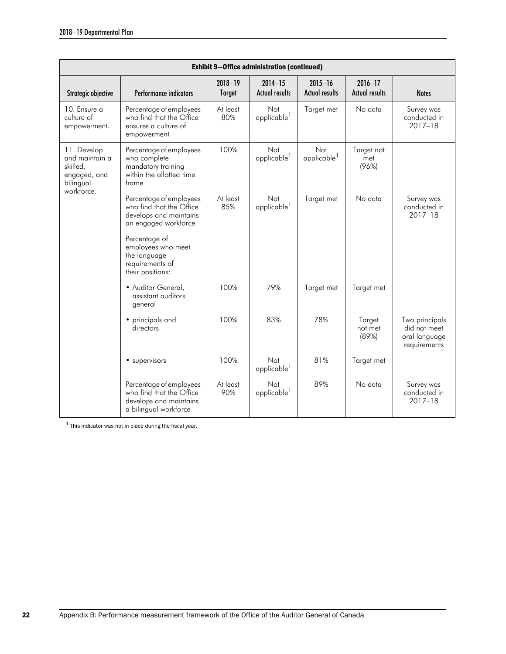| <b>Exhibit 9-Office administration (continued)</b>                                   |                                                                                                        |                          |                                      |                                      |                                      |                                                                 |
|--------------------------------------------------------------------------------------|--------------------------------------------------------------------------------------------------------|--------------------------|--------------------------------------|--------------------------------------|--------------------------------------|-----------------------------------------------------------------|
| Strategic objective                                                                  | Performance indicators                                                                                 | 2018-19<br><b>Target</b> | $2014 - 15$<br><b>Actual results</b> | $2015 - 16$<br><b>Actual results</b> | $2016 - 17$<br><b>Actual results</b> | <b>Notes</b>                                                    |
| 10. Ensure a<br>culture of<br>empowerment.                                           | Percentage of employees<br>who find that the Office<br>ensures a culture of<br>empowerment             | At least<br>80%          | Not<br>applicable <sup>1</sup>       | Target met                           | No data                              | Survey was<br>conducted in<br>$2017 - 18$                       |
| 11. Develop<br>and maintain a<br>skilled.<br>engaged, and<br>bilingual<br>workforce. | Percentage of employees<br>who complete<br>mandatory training<br>within the allotted time<br>frame     | 100%                     | Not<br>applicable <sup>1</sup>       | Not<br>applicable <sup>1</sup>       | Target not<br>met<br>(96%)           |                                                                 |
|                                                                                      | Percentage of employees<br>who find that the Office<br>develops and maintains<br>an engaged workforce  | At least<br>85%          | Not<br>applicable <sup>1</sup>       | Target met                           | No data                              | Survey was<br>conducted in<br>$2017 - 18$                       |
|                                                                                      | Percentage of<br>employees who meet<br>the language<br>requirements of<br>their positions:             |                          |                                      |                                      |                                      |                                                                 |
|                                                                                      | · Auditor General,<br>assistant auditors<br>general                                                    | 100%                     | 79%                                  | Target met                           | Target met                           |                                                                 |
|                                                                                      | • principals and<br>directors                                                                          | 100%                     | 83%                                  | 78%                                  | Target<br>not met<br>(89%)           | Two principals<br>did not meet<br>oral language<br>requirements |
|                                                                                      | • supervisors                                                                                          | 100%                     | Not<br>applicable <sup>1</sup>       | 81%                                  | Target met                           |                                                                 |
|                                                                                      | Percentage of employees<br>who find that the Office<br>develops and maintains<br>a bilingual workforce | At least<br>90%          | Not<br>applicable <sup>1</sup>       | 89%                                  | No data                              | Survey was<br>conducted in<br>$2017 - 18$                       |

 $^{\rm 1}$  This indicator was not in place during the fiscal year.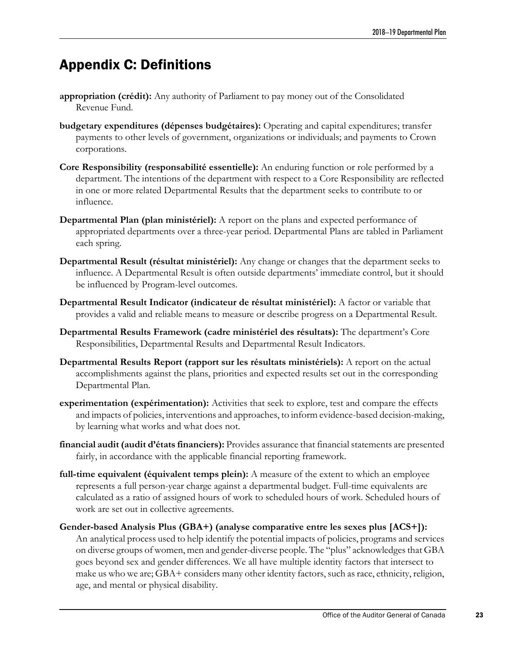# <span id="page-26-0"></span>Appendix C: Definitions

- **appropriation (crédit):** Any authority of Parliament to pay money out of the Consolidated Revenue Fund.
- **budgetary expenditures (dépenses budgétaires):** Operating and capital expenditures; transfer payments to other levels of government, organizations or individuals; and payments to Crown corporations.
- **Core Responsibility (responsabilité essentielle):** An enduring function or role performed by a department. The intentions of the department with respect to a Core Responsibility are reflected in one or more related Departmental Results that the department seeks to contribute to or influence.
- **Departmental Plan (plan ministériel):** A report on the plans and expected performance of appropriated departments over a three-year period. Departmental Plans are tabled in Parliament each spring.
- **Departmental Result (résultat ministériel):** Any change or changes that the department seeks to influence. A Departmental Result is often outside departments' immediate control, but it should be influenced by Program-level outcomes.
- **Departmental Result Indicator (indicateur de résultat ministériel):** A factor or variable that provides a valid and reliable means to measure or describe progress on a Departmental Result.
- **Departmental Results Framework (cadre ministériel des résultats):** The department's Core Responsibilities, Departmental Results and Departmental Result Indicators.
- **Departmental Results Report (rapport sur les résultats ministériels):** A report on the actual accomplishments against the plans, priorities and expected results set out in the corresponding Departmental Plan.
- **experimentation (expérimentation):** Activities that seek to explore, test and compare the effects and impacts of policies, interventions and approaches, to inform evidence-based decision-making, by learning what works and what does not.
- **financial audit (audit d'états financiers):** Provides assurance that financial statements are presented fairly, in accordance with the applicable financial reporting framework.
- **full-time equivalent (équivalent temps plein):** A measure of the extent to which an employee represents a full person-year charge against a departmental budget. Full-time equivalents are calculated as a ratio of assigned hours of work to scheduled hours of work. Scheduled hours of work are set out in collective agreements.
- **Gender-based Analysis Plus (GBA+) (analyse comparative entre les sexes plus [ACS+]):** An analytical process used to help identify the potential impacts of policies, programs and services on diverse groups of women, men and gender-diverse people. The "plus" acknowledges that GBA goes beyond sex and gender differences. We all have multiple identity factors that intersect to make us who we are; GBA+ considers many other identity factors, such as race, ethnicity, religion, age, and mental or physical disability.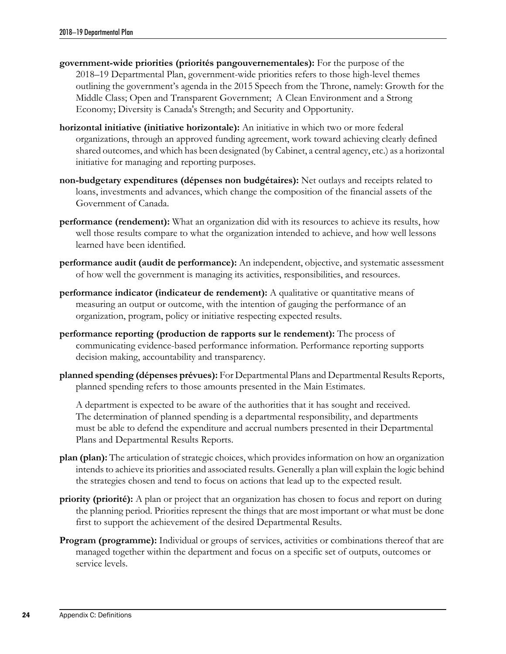- **government-wide priorities (priorités pangouvernementales):** For the purpose of the 2018–19 Departmental Plan, government-wide priorities refers to those high-level themes outlining the government's agenda in the 2015 Speech from the Throne, namely: Growth for the Middle Class; Open and Transparent Government; A Clean Environment and a Strong Economy; Diversity is Canada's Strength; and Security and Opportunity.
- **horizontal initiative (initiative horizontale):** An initiative in which two or more federal organizations, through an approved funding agreement, work toward achieving clearly defined shared outcomes, and which has been designated (by Cabinet, a central agency, etc.) as a horizontal initiative for managing and reporting purposes.
- **non-budgetary expenditures (dépenses non budgétaires):** Net outlays and receipts related to loans, investments and advances, which change the composition of the financial assets of the Government of Canada.
- **performance (rendement):** What an organization did with its resources to achieve its results, how well those results compare to what the organization intended to achieve, and how well lessons learned have been identified.
- **performance audit (audit de performance):** An independent, objective, and systematic assessment of how well the government is managing its activities, responsibilities, and resources.
- **performance indicator (indicateur de rendement):** A qualitative or quantitative means of measuring an output or outcome, with the intention of gauging the performance of an organization, program, policy or initiative respecting expected results.
- **performance reporting (production de rapports sur le rendement):** The process of communicating evidence-based performance information. Performance reporting supports decision making, accountability and transparency.
- **planned spending (dépenses prévues):** For Departmental Plans and Departmental Results Reports, planned spending refers to those amounts presented in the Main Estimates.

A department is expected to be aware of the authorities that it has sought and received. The determination of planned spending is a departmental responsibility, and departments must be able to defend the expenditure and accrual numbers presented in their Departmental Plans and Departmental Results Reports.

- **plan (plan):** The articulation of strategic choices, which provides information on how an organization intends to achieve its priorities and associated results. Generally a plan will explain the logic behind the strategies chosen and tend to focus on actions that lead up to the expected result.
- **priority (priorité):** A plan or project that an organization has chosen to focus and report on during the planning period. Priorities represent the things that are most important or what must be done first to support the achievement of the desired Departmental Results.
- **Program (programme):** Individual or groups of services, activities or combinations thereof that are managed together within the department and focus on a specific set of outputs, outcomes or service levels.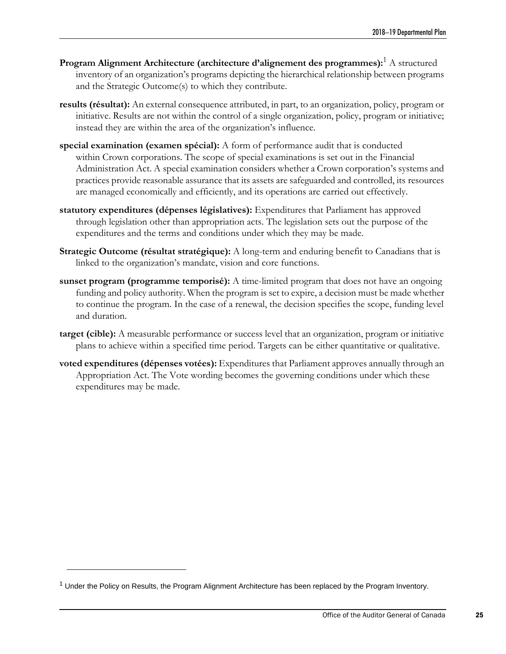- **Program Alignment Architecture (architecture d'alignement des programmes):**<sup>1</sup> A structured inventory of an organization's programs depicting the hierarchical relationship between programs and the Strategic Outcome(s) to which they contribute.
- **results (résultat):** An external consequence attributed, in part, to an organization, policy, program or initiative. Results are not within the control of a single organization, policy, program or initiative; instead they are within the area of the organization's influence.
- **special examination (examen spécial):** A form of performance audit that is conducted within Crown corporations. The scope of special examinations is set out in the Financial Administration Act. A special examination considers whether a Crown corporation's systems and practices provide reasonable assurance that its assets are safeguarded and controlled, its resources are managed economically and efficiently, and its operations are carried out effectively.
- **statutory expenditures (dépenses législatives):** Expenditures that Parliament has approved through legislation other than appropriation acts. The legislation sets out the purpose of the expenditures and the terms and conditions under which they may be made.
- **Strategic Outcome (résultat stratégique):** A long-term and enduring benefit to Canadians that is linked to the organization's mandate, vision and core functions.
- **sunset program (programme temporisé):** A time-limited program that does not have an ongoing funding and policy authority. When the program is set to expire, a decision must be made whether to continue the program. In the case of a renewal, the decision specifies the scope, funding level and duration.
- **target (cible):** A measurable performance or success level that an organization, program or initiative plans to achieve within a specified time period. Targets can be either quantitative or qualitative.
- **voted expenditures (dépenses votées):** Expenditures that Parliament approves annually through an Appropriation Act. The Vote wording becomes the governing conditions under which these expenditures may be made.

 $<sup>1</sup>$  Under the Policy on Results, the Program Alignment Architecture has been replaced by the Program Inventory.</sup>